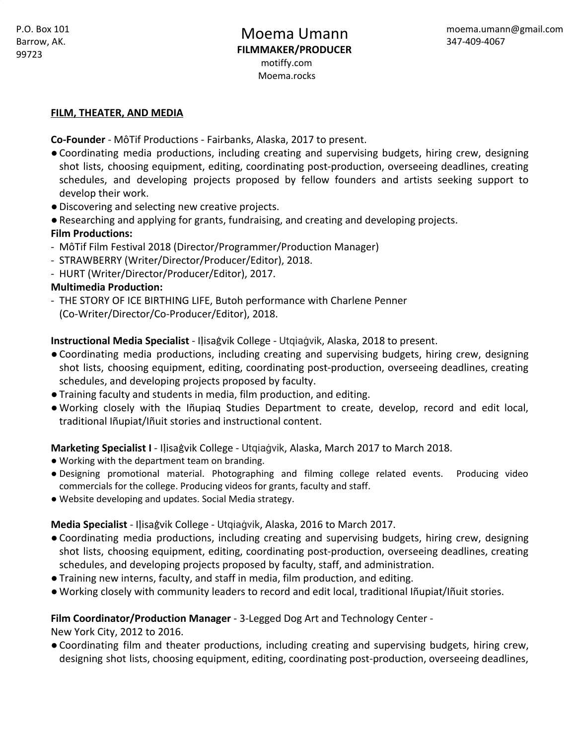#### **FILM, THEATER, AND MEDIA**

**Co-Founder** - MôTif Productions - Fairbanks, Alaska, 2017 to present.

- ●Coordinating media productions, including creating and supervising budgets, hiring crew, designing shot lists, choosing equipment, editing, coordinating post-production, overseeing deadlines, creating schedules, and developing projects proposed by fellow founders and artists seeking support to develop their work.
- ●Discovering and selecting new creative projects.
- ●Researching and applying for grants, fundraising, and creating and developing projects. **Film Productions:**
- MôTif Film Festival 2018 (Director/Programmer/Production Manager)
- STRAWBERRY (Writer/Director/Producer/Editor), 2018.
- HURT (Writer/Director/Producer/Editor), 2017.

### **Multimedia Production:**

- THE STORY OF ICE BIRTHING LIFE, Butoh performance with Charlene Penner (Co-Writer/Director/Co-Producer/Editor), 2018.

**Instructional Media Specialist** - Iḷisaġvik College - Utqiaġvik, Alaska, 2018 to present.

- ●Coordinating media productions, including creating and supervising budgets, hiring crew, designing shot lists, choosing equipment, editing, coordinating post-production, overseeing deadlines, creating schedules, and developing projects proposed by faculty.
- ●Training faculty and students in media, film production, and editing.
- ●Working closely with the Iñupiaq Studies Department to create, develop, record and edit local, traditional Iñupiat/Iñuit stories and instructional content.

**Marketing Specialist I** - Iḷisaġvik College - Utqiaġvik, Alaska, March 2017 to March 2018.

- Working with the department team on branding.
- Designing promotional material. Photographing and filming college related events. Producing video commercials for the college. Producing videos for grants, faculty and staff.
- **●** Website developing and updates. Social Media strategy.

**Media Specialist** - Iḷisaġvik College - Utqiaġvik, Alaska, 2016 to March 2017.

- ●Coordinating media productions, including creating and supervising budgets, hiring crew, designing shot lists, choosing equipment, editing, coordinating post-production, overseeing deadlines, creating schedules, and developing projects proposed by faculty, staff, and administration.
- ●Training new interns, faculty, and staff in media, film production, and editing.
- ●Working closely with community leaders to record and edit local, traditional Iñupiat/Iñuit stories.

### **Film Coordinator/Production Manager** - 3-Legged Dog Art and Technology Center -

New York City, 2012 to 2016.

●Coordinating film and theater productions, including creating and supervising budgets, hiring crew, designing shot lists, choosing equipment, editing, coordinating post-production, overseeing deadlines,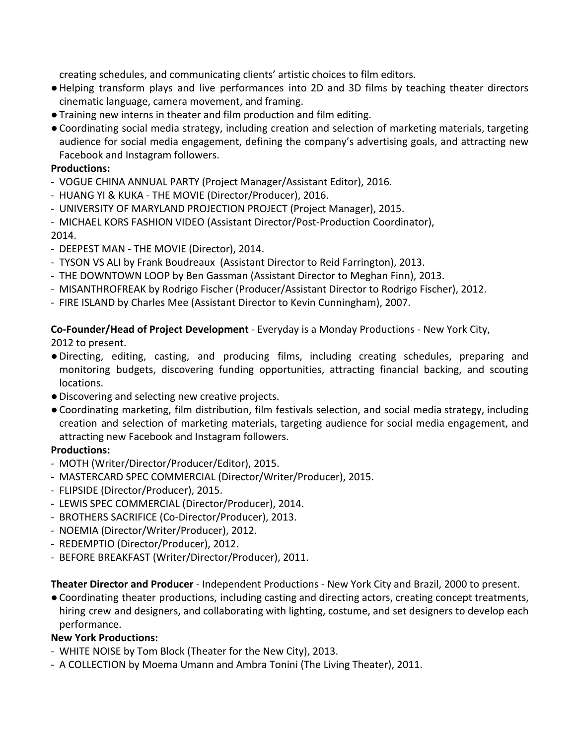creating schedules, and communicating clients' artistic choices to film editors.

- ●Helping transform plays and live performances into 2D and 3D films by teaching theater directors cinematic language, camera movement, and framing.
- ●Training new interns in theater and film production and film editing.
- ●Coordinating social media strategy, including creation and selection of marketing materials, targeting audience for social media engagement, defining the company's advertising goals, and attracting new Facebook and Instagram followers.

# **Productions:**

- VOGUE CHINA ANNUAL PARTY (Project Manager/Assistant Editor), 2016.
- HUANG YI & KUKA THE MOVIE (Director/Producer), 2016.
- UNIVERSITY OF MARYLAND PROJECTION PROJECT (Project Manager), 2015.
- MICHAEL KORS FASHION VIDEO (Assistant Director/Post-Production Coordinator),

2014.

- DEEPEST MAN THE MOVIE (Director), 2014.
- TYSON VS ALI by Frank Boudreaux (Assistant Director to Reid Farrington), 2013.
- THE DOWNTOWN LOOP by Ben Gassman (Assistant Director to Meghan Finn), 2013.
- MISANTHROFREAK by Rodrigo Fischer (Producer/Assistant Director to Rodrigo Fischer), 2012.
- FIRE ISLAND by Charles Mee (Assistant Director to Kevin Cunningham), 2007.

**Co-Founder/Head of Project Development** - Everyday is a Monday Productions - New York City,

2012 to present.

- ●Directing, editing, casting, and producing films, including creating schedules, preparing and monitoring budgets, discovering funding opportunities, attracting financial backing, and scouting locations.
- ●Discovering and selecting new creative projects.
- ●Coordinating marketing, film distribution, film festivals selection, and social media strategy, including creation and selection of marketing materials, targeting audience for social media engagement, and attracting new Facebook and Instagram followers.

# **Productions:**

- MOTH (Writer/Director/Producer/Editor), 2015.
- MASTERCARD SPEC COMMERCIAL (Director/Writer/Producer), 2015.
- FLIPSIDE (Director/Producer), 2015.
- LEWIS SPEC COMMERCIAL (Director/Producer), 2014.
- BROTHERS SACRIFICE (Co-Director/Producer), 2013.
- NOEMIA (Director/Writer/Producer), 2012.
- REDEMPTIO (Director/Producer), 2012.
- BEFORE BREAKFAST (Writer/Director/Producer), 2011.

**Theater Director and Producer** - Independent Productions - New York City and Brazil, 2000 to present.

●Coordinating theater productions, including casting and directing actors, creating concept treatments, hiring crew and designers, and collaborating with lighting, costume, and set designers to develop each performance.

# **New York Productions:**

- WHITE NOISE by Tom Block (Theater for the New City), 2013.
- A COLLECTION by Moema Umann and Ambra Tonini (The Living Theater), 2011.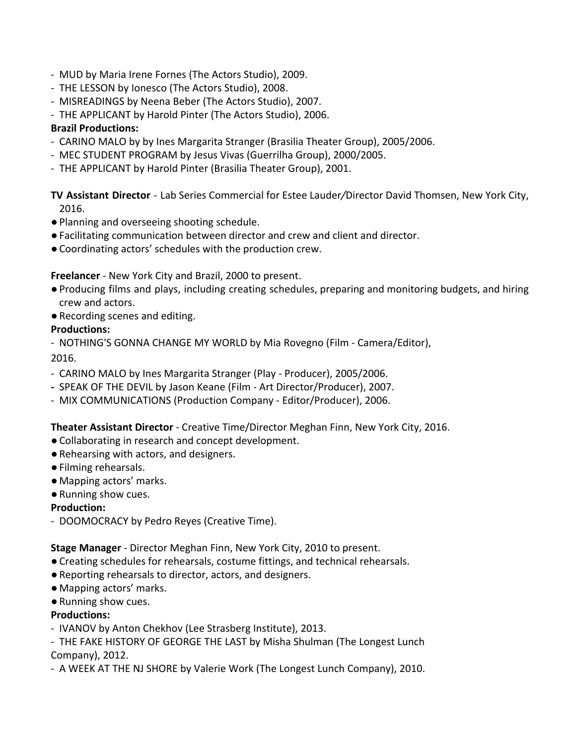- MUD by Maria Irene Fornes (The Actors Studio), 2009.
- THE LESSON by Ionesco (The Actors Studio), 2008.
- MISREADINGS by Neena Beber (The Actors Studio), 2007.
- THE APPLICANT by Harold Pinter (The Actors Studio), 2006.

### **Brazil Productions:**

- CARINO MALO by by Ines Margarita Stranger (Brasilia Theater Group), 2005/2006.
- MEC STUDENT PROGRAM by Jesus Vivas (Guerrilha Group), 2000/2005.
- THE APPLICANT by Harold Pinter (Brasilia Theater Group), 2001.

**TV Assistant Director** - Lab Series Commercial for Estee Lauder*/*Director David Thomsen, New York City, 2016.

- ●Planning and overseeing shooting schedule.
- ●Facilitating communication between director and crew and client and director.
- ●Coordinating actors' schedules with the production crew.

**Freelancer** - New York City and Brazil, 2000 to present.

- ●Producing films and plays, including creating schedules, preparing and monitoring budgets, and hiring crew and actors.
- ●Recording scenes and editing.

### **Productions:**

- NOTHING'S GONNA CHANGE MY WORLD by Mia Rovegno (Film - Camera/Editor),

2016.

- CARINO MALO by Ines Margarita Stranger (Play Producer), 2005/2006.
- *-* SPEAK OF THE DEVIL by Jason Keane (Film Art Director/Producer), 2007.
- MIX COMMUNICATIONS (Production Company Editor/Producer), 2006.

**Theater Assistant Director** - Creative Time/Director Meghan Finn, New York City, 2016.

- ●Collaborating in research and concept development.
- ●Rehearsing with actors, and designers.
- ●Filming rehearsals.
- Mapping actors' marks.
- ●Running show cues.

# **Production:**

- DOOMOCRACY by Pedro Reyes (Creative Time).

**Stage Manager** - Director Meghan Finn, New York City, 2010 to present.

- ●Creating schedules for rehearsals, costume fittings, and technical rehearsals.
- ●Reporting rehearsals to director, actors, and designers.
- Mapping actors' marks.
- ●Running show cues.

# **Productions:**

- IVANOV by Anton Chekhov (Lee Strasberg Institute), 2013.

- THE FAKE HISTORY OF GEORGE THE LAST by Misha Shulman (The Longest Lunch Company), 2012.

- A WEEK AT THE NJ SHORE by Valerie Work (The Longest Lunch Company), 2010.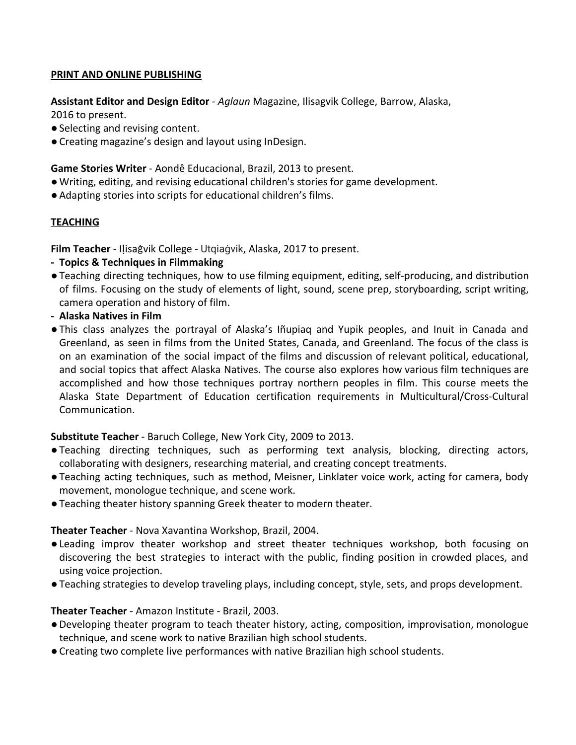### **PRINT AND ONLINE PUBLISHING**

**Assistant Editor and Design Editor** - *Aglaun* Magazine, Ilisagvik College, Barrow, Alaska, 2016 to present.

- Selecting and revising content.
- ●Creating magazine's design and layout using InDesign.

**Game Stories Writer** - Aondê Educacional, Brazil, 2013 to present.

- ●Writing, editing, and revising educational children's stories for game development.
- ●Adapting stories into scripts for educational children's films.

# **TEACHING**

**Film Teacher** - Iḷisaġvik College - Utqiaġvik, Alaska, 2017 to present.

- **- Topics & Techniques in Filmmaking**
- ●Teaching directing techniques, how to use filming equipment, editing, self-producing, and distribution of films. Focusing on the study of elements of light, sound, scene prep, storyboarding, script writing, camera operation and history of film.
- **- Alaska Natives in Film**
- ●This class analyzes the portrayal of Alaska's Iñupiaq and Yupik peoples, and Inuit in Canada and Greenland, as seen in films from the United States, Canada, and Greenland. The focus of the class is on an examination of the social impact of the films and discussion of relevant political, educational, and social topics that affect Alaska Natives. The course also explores how various film techniques are accomplished and how those techniques portray northern peoples in film. This course meets the Alaska State Department of Education certification requirements in Multicultural/Cross-Cultural Communication.

# **Substitute Teacher** - Baruch College, New York City, 2009 to 2013.

- ●Teaching directing techniques, such as performing text analysis, blocking, directing actors, collaborating with designers, researching material, and creating concept treatments.
- ●Teaching acting techniques, such as method, Meisner, Linklater voice work, acting for camera, body movement, monologue technique, and scene work.
- ●Teaching theater history spanning Greek theater to modern theater.

# **Theater Teacher** - Nova Xavantina Workshop, Brazil, 2004.

- ●Leading improv theater workshop and street theater techniques workshop, both focusing on discovering the best strategies to interact with the public, finding position in crowded places, and using voice projection.
- ●Teaching strategies to develop traveling plays, including concept, style, sets, and props development.

# **Theater Teacher** - Amazon Institute - Brazil, 2003.

- ●Developing theater program to teach theater history, acting, composition, improvisation, monologue technique, and scene work to native Brazilian high school students.
- ●Creating two complete live performances with native Brazilian high school students.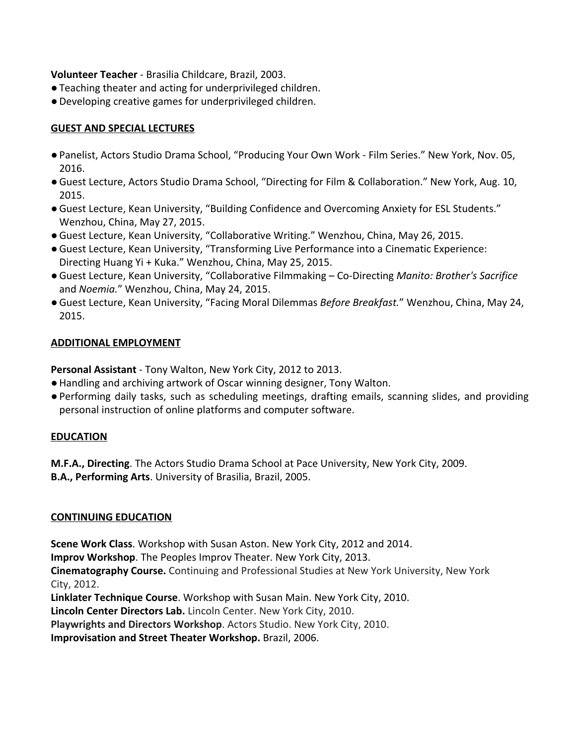**Volunteer Teacher** - Brasilia Childcare, Brazil, 2003.

- ●Teaching theater and acting for underprivileged children.
- ●Developing creative games for underprivileged children.

### **GUEST AND SPECIAL LECTURES**

- ●Panelist, Actors Studio Drama School, "Producing Your Own Work Film Series." New York, Nov. 05, 2016.
- ●Guest Lecture, Actors Studio Drama School, "Directing for Film & Collaboration." New York, Aug. 10, 2015.
- ●Guest Lecture, Kean University, "Building Confidence and Overcoming Anxiety for ESL Students." Wenzhou, China, May 27, 2015.
- ●Guest Lecture, Kean University, "Collaborative Writing." Wenzhou, China, May 26, 2015.
- ●Guest Lecture, Kean University, "Transforming Live Performance into a Cinematic Experience: Directing Huang Yi + Kuka." Wenzhou, China, May 25, 2015.
- ●Guest Lecture, Kean University, "Collaborative Filmmaking Co-Directing *Manito: Brother's Sacrifice* and *Noemia.*" Wenzhou, China, May 24, 2015.
- ●Guest Lecture, Kean University, "Facing Moral Dilemmas *Before Breakfast.*" Wenzhou, China, May 24, 2015.

### **ADDITIONAL EMPLOYMENT**

**Personal Assistant** - Tony Walton, New York City, 2012 to 2013.

- ●Handling and archiving artwork of Oscar winning designer, Tony Walton.
- ●Performing daily tasks, such as scheduling meetings, drafting emails, scanning slides, and providing personal instruction of online platforms and computer software.

### **EDUCATION**

**M.F.A., Directing**. The Actors Studio Drama School at Pace University, New York City, 2009. **B.A., Performing Arts**. University of Brasilia, Brazil, 2005.

### **CONTINUING EDUCATION**

**Scene Work Class**. Workshop with Susan Aston. New York City, 2012 and 2014.

**Improv Workshop**. The Peoples Improv Theater. New York City, 2013.

**Cinematography Course.** Continuing and Professional Studies at New York University, New York City, 2012.

**Linklater Technique Course**. Workshop with Susan Main. New York City, 2010.

**Lincoln Center Directors Lab.** Lincoln Center. New York City, 2010.

**Playwrights and Directors Workshop**. Actors Studio. New York City, 2010.

**Improvisation and Street Theater Workshop.** Brazil, 2006.